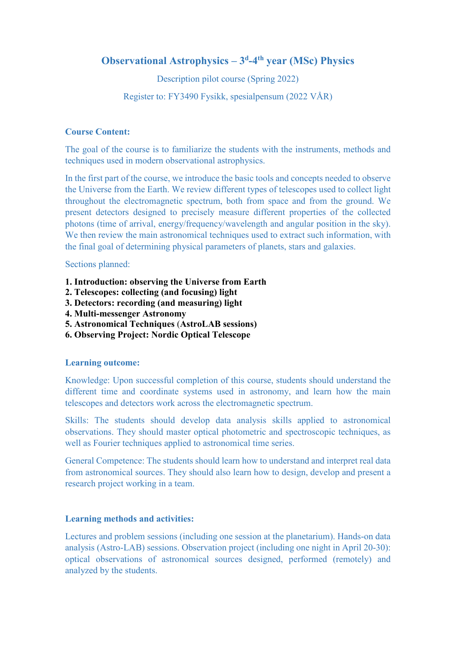# **Observational Astrophysics – 3d -4th year (MSc) Physics**

Description pilot course (Spring 2022)

Register to: FY3490 Fysikk, spesialpensum (2022 VÅR)

## **Course Content:**

The goal of the course is to familiarize the students with the instruments, methods and techniques used in modern observational astrophysics.

In the first part of the course, we introduce the basic tools and concepts needed to observe the Universe from the Earth. We review different types of telescopes used to collect light throughout the electromagnetic spectrum, both from space and from the ground. We present detectors designed to precisely measure different properties of the collected photons (time of arrival, energy/frequency/wavelength and angular position in the sky). We then review the main astronomical techniques used to extract such information, with the final goal of determining physical parameters of planets, stars and galaxies.

#### Sections planned:

- **1. Introduction: observing the Universe from Earth**
- **2. Telescopes: collecting (and focusing) light**
- **3. Detectors: recording (and measuring) light**
- **4. Multi-messenger Astronomy**
- **5. Astronomical Techniques** (**AstroLAB sessions)**
- **6. Observing Project: Nordic Optical Telescope**

#### **Learning outcome:**

Knowledge: Upon successful completion of this course, students should understand the different time and coordinate systems used in astronomy, and learn how the main telescopes and detectors work across the electromagnetic spectrum.

Skills: The students should develop data analysis skills applied to astronomical observations. They should master optical photometric and spectroscopic techniques, as well as Fourier techniques applied to astronomical time series.

General Competence: The students should learn how to understand and interpret real data from astronomical sources. They should also learn how to design, develop and present a research project working in a team.

#### **Learning methods and activities:**

Lectures and problem sessions (including one session at the planetarium). Hands-on data analysis (Astro-LAB) sessions. Observation project (including one night in April 20-30): optical observations of astronomical sources designed, performed (remotely) and analyzed by the students.